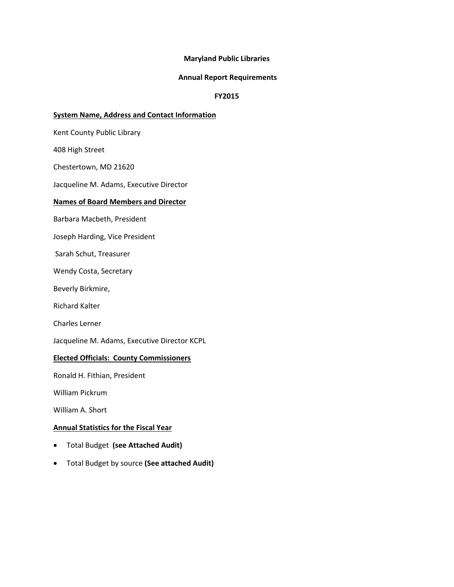### **Maryland Public Libraries**

#### **Annual Report Requirements**

#### **FY2015**

#### **System Name, Address and Contact Information**

Kent County Public Library

408 High Street

Chestertown, MD 21620

Jacqueline M. Adams, Executive Director

#### **Names of Board Members and Director**

Barbara Macbeth, President

Joseph Harding, Vice President

Sarah Schut, Treasurer

Wendy Costa, Secretary

Beverly Birkmire,

Richard Kalter

Charles Lerner

Jacqueline M. Adams, Executive Director KCPL

#### **Elected Officials: County Commissioners**

Ronald H. Fithian, President

William Pickrum

William A. Short

### **Annual Statistics for the Fiscal Year**

- Total Budget **(see Attached Audit)**
- Total Budget by source **(See attached Audit)**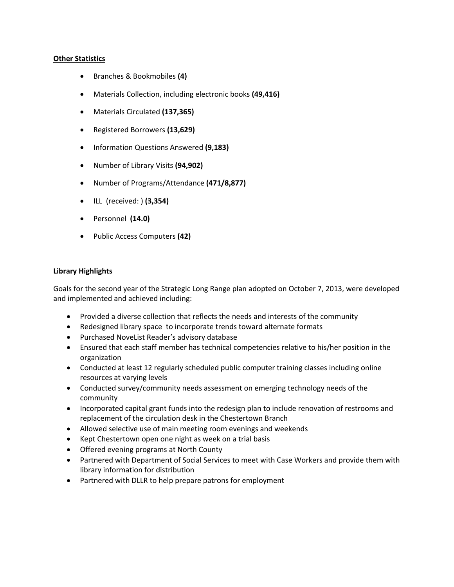#### **Other Statistics**

- Branches & Bookmobiles **(4)**
- Materials Collection, including electronic books **(49,416)**
- Materials Circulated **(137,365)**
- Registered Borrowers **(13,629)**
- Information Questions Answered **(9,183)**
- Number of Library Visits **(94,902)**
- Number of Programs/Attendance **(471/8,877)**
- ILL (received: ) **(3,354)**
- Personnel **(14.0)**
- Public Access Computers **(42)**

## **Library Highlights**

Goals for the second year of the Strategic Long Range plan adopted on October 7, 2013, were developed and implemented and achieved including:

- Provided a diverse collection that reflects the needs and interests of the community
- Redesigned library space to incorporate trends toward alternate formats
- Purchased NoveList Reader's advisory database
- Ensured that each staff member has technical competencies relative to his/her position in the organization
- Conducted at least 12 regularly scheduled public computer training classes including online resources at varying levels
- Conducted survey/community needs assessment on emerging technology needs of the community
- Incorporated capital grant funds into the redesign plan to include renovation of restrooms and replacement of the circulation desk in the Chestertown Branch
- Allowed selective use of main meeting room evenings and weekends
- Kept Chestertown open one night as week on a trial basis
- Offered evening programs at North County
- Partnered with Department of Social Services to meet with Case Workers and provide them with library information for distribution
- Partnered with DLLR to help prepare patrons for employment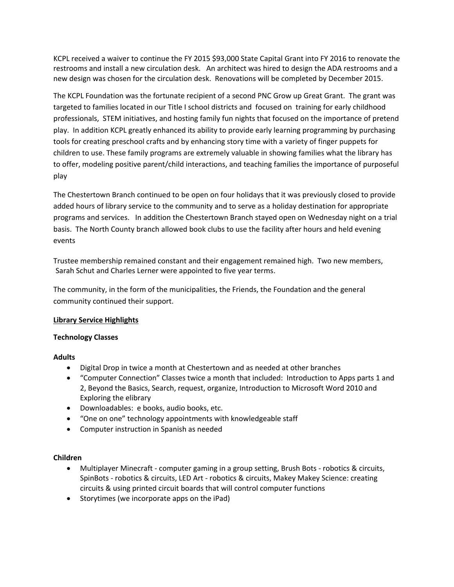KCPL received a waiver to continue the FY 2015 \$93,000 State Capital Grant into FY 2016 to renovate the restrooms and install a new circulation desk. An architect was hired to design the ADA restrooms and a new design was chosen for the circulation desk. Renovations will be completed by December 2015.

The KCPL Foundation was the fortunate recipient of a second PNC Grow up Great Grant. The grant was targeted to families located in our Title I school districts and focused on training for early childhood professionals, STEM initiatives, and hosting family fun nights that focused on the importance of pretend play. In addition KCPL greatly enhanced its ability to provide early learning programming by purchasing tools for creating preschool crafts and by enhancing story time with a variety of finger puppets for children to use. These family programs are extremely valuable in showing families what the library has to offer, modeling positive parent/child interactions, and teaching families the importance of purposeful play

The Chestertown Branch continued to be open on four holidays that it was previously closed to provide added hours of library service to the community and to serve as a holiday destination for appropriate programs and services. In addition the Chestertown Branch stayed open on Wednesday night on a trial basis. The North County branch allowed book clubs to use the facility after hours and held evening events

Trustee membership remained constant and their engagement remained high. Two new members, Sarah Schut and Charles Lerner were appointed to five year terms.

The community, in the form of the municipalities, the Friends, the Foundation and the general community continued their support.

# **Library Service Highlights**

# **Technology Classes**

## **Adults**

- Digital Drop in twice a month at Chestertown and as needed at other branches
- "Computer Connection" Classes twice a month that included: Introduction to Apps parts 1 and 2, Beyond the Basics, Search, request, organize, Introduction to Microsoft Word 2010 and Exploring the elibrary
- Downloadables: e books, audio books, etc.
- "One on one" technology appointments with knowledgeable staff
- Computer instruction in Spanish as needed

## **Children**

- Multiplayer Minecraft computer gaming in a group setting, Brush Bots robotics & circuits, SpinBots ‐ robotics & circuits, LED Art ‐ robotics & circuits, Makey Makey Science: creating circuits & using printed circuit boards that will control computer functions
- Storytimes (we incorporate apps on the iPad)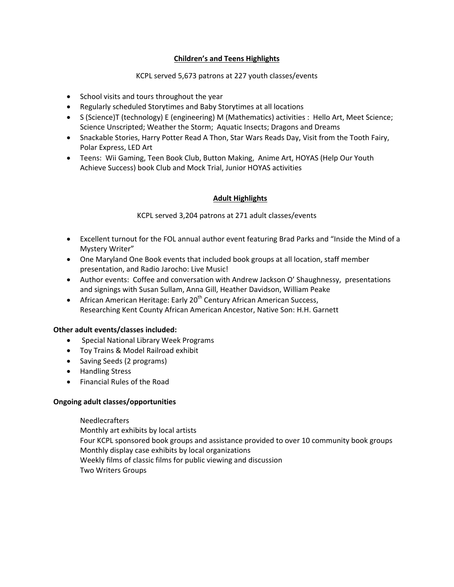# **Children's and Teens Highlights**

## KCPL served 5,673 patrons at 227 youth classes/events

- School visits and tours throughout the year
- Regularly scheduled Storytimes and Baby Storytimes at all locations
- S (Science)T (technology) E (engineering) M (Mathematics) activities : Hello Art, Meet Science; Science Unscripted; Weather the Storm; Aquatic Insects; Dragons and Dreams
- Snackable Stories, Harry Potter Read A Thon, Star Wars Reads Day, Visit from the Tooth Fairy, Polar Express, LED Art
- Teens: Wii Gaming, Teen Book Club, Button Making, Anime Art, HOYAS (Help Our Youth Achieve Success) book Club and Mock Trial, Junior HOYAS activities

# **Adult Highlights**

KCPL served 3,204 patrons at 271 adult classes/events

- Excellent turnout for the FOL annual author event featuring Brad Parks and "Inside the Mind of a Mystery Writer"
- One Maryland One Book events that included book groups at all location, staff member presentation, and Radio Jarocho: Live Music!
- Author events: Coffee and conversation with Andrew Jackson O' Shaughnessy, presentations and signings with Susan Sullam, Anna Gill, Heather Davidson, William Peake
- **•** African American Heritage: Early 20<sup>th</sup> Century African American Success, Researching Kent County African American Ancestor, Native Son: H.H. Garnett

## **Other adult events/classes included:**

- Special National Library Week Programs
- Toy Trains & Model Railroad exhibit
- Saving Seeds (2 programs)
- Handling Stress
- Financial Rules of the Road

## **Ongoing adult classes/opportunities**

Needlecrafters Monthly art exhibits by local artists Four KCPL sponsored book groups and assistance provided to over 10 community book groups Monthly display case exhibits by local organizations Weekly films of classic films for public viewing and discussion Two Writers Groups